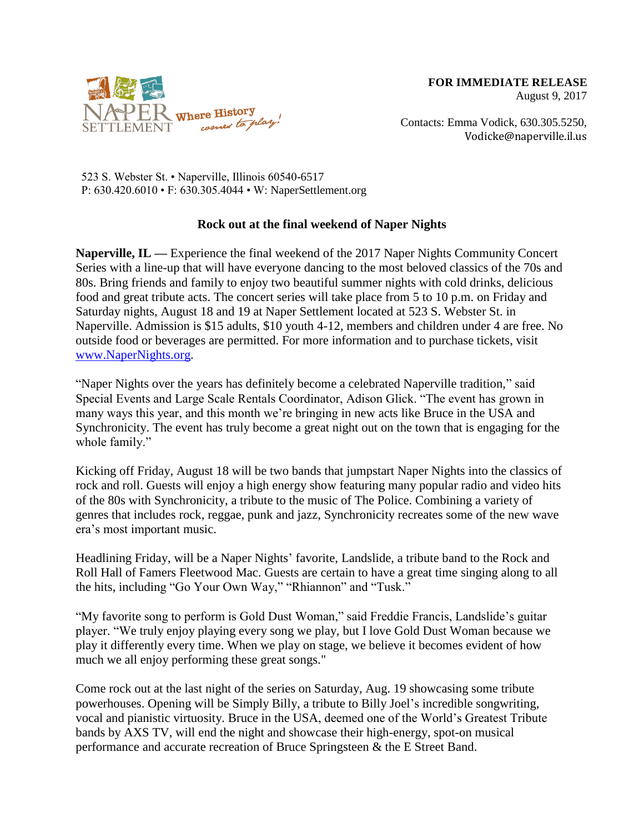

Contacts: Emma Vodick, 630.305.5250, Vodicke@naperville.il.us

523 S. Webster St. • Naperville, Illinois 60540-6517 P: 630.420.6010 • F: 630.305.4044 • W: NaperSettlement.org

## **Rock out at the final weekend of Naper Nights**

**Naperville, IL —** Experience the final weekend of the 2017 Naper Nights Community Concert Series with a line-up that will have everyone dancing to the most beloved classics of the 70s and 80s. Bring friends and family to enjoy two beautiful summer nights with cold drinks, delicious food and great tribute acts. The concert series will take place from 5 to 10 p.m. on Friday and Saturday nights, August 18 and 19 at Naper Settlement located at 523 S. Webster St. in Naperville. Admission is \$15 adults, \$10 youth 4-12, members and children under 4 are free. No outside food or beverages are permitted. For more information and to purchase tickets, visit [www.NaperNights.org.](http://www.napernights.org/)

"Naper Nights over the years has definitely become a celebrated Naperville tradition," said Special Events and Large Scale Rentals Coordinator, Adison Glick. "The event has grown in many ways this year, and this month we're bringing in new acts like Bruce in the USA and Synchronicity. The event has truly become a great night out on the town that is engaging for the whole family."

Kicking off Friday, August 18 will be two bands that jumpstart Naper Nights into the classics of rock and roll. Guests will enjoy a high energy show featuring many popular radio and video hits of the 80s with Synchronicity, a tribute to the music of The Police. Combining a variety of genres that includes rock, reggae, punk and jazz, Synchronicity recreates some of the new wave era's most important music.

Headlining Friday, will be a Naper Nights' favorite, Landslide, a tribute band to the Rock and Roll Hall of Famers Fleetwood Mac. Guests are certain to have a great time singing along to all the hits, including "Go Your Own Way," "Rhiannon" and "Tusk."

"My favorite song to perform is Gold Dust Woman," said Freddie Francis, Landslide's guitar player. "We truly enjoy playing every song we play, but I love Gold Dust Woman because we play it differently every time. When we play on stage, we believe it becomes evident of how much we all enjoy performing these great songs."

Come rock out at the last night of the series on Saturday, Aug. 19 showcasing some tribute powerhouses. Opening will be Simply Billy, a tribute to Billy Joel's incredible songwriting, vocal and pianistic virtuosity. Bruce in the USA, deemed one of the World's Greatest Tribute bands by AXS TV, will end the night and showcase their high-energy, spot-on musical performance and accurate recreation of Bruce Springsteen & the E Street Band.